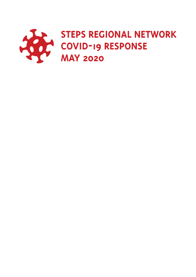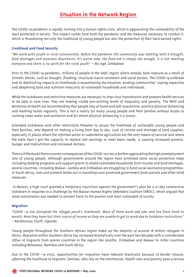# **Situation in the Network Region**

The COVID-19 pandemic is rapidly turning into a human rights crisis, which is aggravating the vulnerability of the least protected in society. This impact comes from both the pandemic and the measures necessary to combat it, which is threatening not only the livelihood of young people but also the protection of their hard earned rights.

## **Livelihood and Food Security**

*"We work with youth in rural communities. Before the pandemic the community was battling with a drought, food shortages and economic downturns. It's worse now, the food aid is simply not enough, it is not reaching everyone and there is no work for the rural youth" –* My Age, Zimbabwe

Prior to the COVID-19 pandemic, millions of people in the SADC region where already food insecure as a result of climatic shocks, such as drought, flooding, structural macro-economic and social factors. The COVID-19 outbreak and its debilitating impacts on livelihoods is exacerbating the situation, eroding communities' coping capacities and deepening food and nutrition insecurity of vulnerable households and individuals.

While the lockdowns and restrictive measures are necessary to stop virus transmission and prepare health services to be able to save lives, they are making visible pre-existing levels of inequality and poverty. The WHO and Ministries of Health are recommending that people stay at home and self-quarantine, practice physical distancing and washing hands regularly. This is not a reality for many young people and their families without access to running clean water and sanitation and for whom physical distancing is a luxury.

Extended lockdowns and other restrictions threaten to secure the livelihood of vulnerable young people and their families, who depend on making a living from day to day. Lack of income and shortage of food supplies, especially in places where the informal sector or subsistence agriculture are the only means of survival and where the state hasn't got the capacity to replace lost earnings or meet basic needs, is causing increased poverty, hunger and malnutrition and increased distress.

There is little doubt that economic consequences of the COVID-19 crisis is further aggravating the high unemployment rate of young people. Although governments around the region have promised some social protection steps including feeding programs and support grants to shield vulnerable households from income and food shortages, several countries, including Malawi, Zambia and Zimbabwe are struggling to fund social assistance programmes. In South Africa, riots and protests broke out in townships over promised government food-parcels and other relief measures.

 In Malawi, a high court granted a temporary injunction against the government's plan for a 21-day coronavirus lockdown in response to a challenge by the Malawi Human Rights Defenders Coalition (HRDC), which argued that more consultation was needed to prevent harm to the poorest and most vulnerable of society.

### **Migration**

*"COVID -19 has disrupted the refugee youth's livelihoods. Most of them work odd jobs and live from hand to mouth. Now they have lost their source of income as they are unable to get to work due to lockdown restrictions" –* Rendezvous Youth, Uganda

Young people throughout the Southern African region make up the majority of around 18 million refugees in Africa. Migration within Southern Africa has increased dramatically over the past two decades with a considerable influx of migrants from poorer countries in the region like Lesotho, Zimbabwe and Malawi to richer countries including Botswana, Namibia and South Africa.

Due to the COVID -19 crisis, opportunities for migration have reduced drastically because of border closure, affecting the livelihood of migrants' families, who rely on the remittances. Health risks and poverty pose a serious

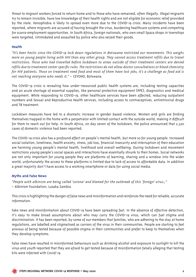threat to migrant workers forced to return home and to those who have remained, often illegally. Illegal migrants try to remain invisible, have low knowledge of their health rights and are not eligible for economic relief provided by the state. Xenophobia is likely to spread even more due to the COVID-19 crisis. Many incidents have been reported, where migrants are accused of having brought the virus, burdening healthcare systems and competing for scarce employment opportunities. In South Africa, foreign nationals, who own small Spaza shops in townships were targeted, intimidated and assaulted by police who also seized their goods.

## **Health**

*"It's been hectic since the COVID-19 lock down regulations in Botswana restricted our movements. This weighs more on young people living with HIV than any other group. They cannot access treatment refills due to travel restrictions. Those who had travelled before lockdown to areas outside of their treatment centers are denied refills due to treatment center specific rules. The restrictions do not allow doctor consultations or blood chemistry for HIV patients. Those on treatment need food and most of them have lost jobs, it's a challenge as food aid is not reaching everyone who needs it." –* CEYOHO, Botswana

The COVID-19 crisis is revealing how under-resourced public health systems are, including testing capacities and an acute shortage of essential supplies, like personal protective equipment (PPE), diagnostics and medical equipment. While responding to COVID-19, other healthcare services have been affected, reducing outpatient numbers and Sexual and Reproductive Health services, including access to contraceptives, antiretroviral drugs and TB treatment.

Lockdown measures have led to a dramatic increase in gender based violence. Women and girls are finding themselves trapped in the home with a perpetrator with limited contact with the outside world, making it difficult for them to reach out for help. In South Africa, on day seven of the lockdown, the police announced that 2,320 cases of domestic violence had been reported.

The COVID-19 crisis also has a profound effect on people's mental health, but more so for young people. Increased social isolation, loneliness, health anxiety, stress, job loss, financial insecurity and interruption of their education are harming young people's mental health, livelihood and overall wellbeing. During lockdown and movement restrictions young people's social spaces and interactions have essentially shrunk to their homes. Social networks are not only important for young people they are platforms of learning, sharing and a window into the wider world, unfortunately the access to these platforms is limited due to lack of access to affordable data. In addition a great majority don't have access to a working smartphone or data for using social media.

### **Myths and False News**

*"People with albinism are being called 'corona' and blamed for the outbreak of this 'foreign' virus.," –* Albinism Foundation, Lusaka Zambia

This crisis is highlighting the danger of false news and misinformation and reinforces the need for reliable, accurate information.

Fake news and misinformation about COVID-19 have been spreading fast. In the absence of effective detection, it's easy to make broad assumptions about who may carry the COVID-19 virus, which can fuel stigma and discrimination. It has been reported, by some of our members that families, who are adhering to the stay at home regulations, are labelled and stigmatised as carriers of the virus in their communities. People are starting to feel anxious of being tested because of possible stigma in their communities and prefer to keep to themselves when they develop symptoms.

False news have resulted in misinformed behaviours such as drinking alcohol and exposure to sunlight to kill the virus and youth reported that they are afraid to get tested because of misinformation falsely alleging that testing kits were infected with Covid-19.

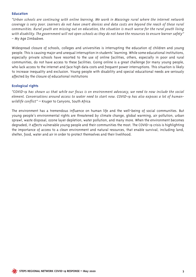## **Education**

*"Urban schools are continuing with online learning. We work in Masvingo rural where the internet network coverage is very poor. Learners do not have smart devices and data costs are beyond the reach of these rural communities. Rural youth are missing out on education, the situation is much worse for the rural youth living with disability. The government will not open schools as they do not have the resources to ensure learner safety" –* My Age Zimbabwe.

Widespread closure of schools, colleges and universities is interrupting the education of children and young people. This is causing major and unequal interruption in students' learning. While some educational institutions, especially private schools have resorted to the use of online facilities, others, especially in poor and rural communities, do not have access to these facilities. Going online is a great challenge for many young people, who lack access to the internet and face high data costs and frequent power interruptions. This situation is likely to increase inequality and exclusion. Young people with disability and special educational needs are seriously affected by the closure of educational institutions

## **Ecological rights**

*"COVID-19 has shown us that while our focus is on environment advocacy, we need to now include the social element. Conversations around access to water need to start now. COVID-19 has also exposes a lot of humanwildlife conflict"* – Kruger to Canyons, South Africa

The environment has a tremendous influence on human life and the well-being of social communities. But young people's environmental rights are threatened by climate change, global warming, air pollution, urban sprawl, waste disposal, ozone layer depletion, water pollution, and many more. When the environment becomes degraded, it affects vulnerable young people and their communities the most. The COVID-19 crisis is highlighting the importance of access to a clean environment and natural resources, that enable survival, including land, shelter, food, water and air in order to protect themselves and their livelihood.

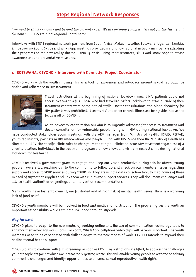# **Steps Regional Network Responses**

*"We need to think critically and beyond the current crises. We are growing young leaders not for the future but for now."* – STEPS Training Regional Coordinator

Interviews with STEPS regional network partners from South Africa, Malawi, Lesotho, Botswana, Uganda, Zambia, Zimbabwe via Zoom, Skype and WhatsApp meetings provided insight how regional network member are adapting their programs to the new reality during COVID-19 crisis, using their resources, skills and knowledge to create awareness around preventative measures.

## **1. Botswana, CEYOHO - Interview with Kennedy, Project Coordinator**

CEYOHO works with the youth in using film as a tool for awareness and advocacy around sexual reproductive health and adherence to HIV treatment.



Travel restrictions at the beginning of national lockdown meant HIV patients could not access treatment refills. Those who had travelled before lockdown to areas outside of their treatment centers were being denied refills. Doctor consultations and blood chemistry for HIV patients was prohibited. It seems HIV and other chronic illness are being sidelined as the focus is all on COVID-19.

As an advocacy organization our aim is to urgently advocate for access to treatment and doctor consultation for vulnerable people living with HIV during national lockdown. We

have conducted stakeholder zoom meetings with the ARV manager from Ministry of Health, USAID, PEPFAR, youth facilitators, partners in HIV interventions and people living with HIV. Since then the Ministry of Health has directed all ARV site specific clinic rules to change, mandating all clinics to issue ARV treatment regardless of a client's location. Individuals in the treatment program are now allowed to visit any nearest clinic during national lockdown for treatment.

CEYOHO received a government grant to engage and keep our youth productive during this lockdown. Young people have started reaching out to the community to follow up and check on our members' issues regarding supply and access to SRHR services during COVID-19. They are using a data collection tool, to map homes of those in need of support or supplies and link them with clinics and support services. They will document challenges and advice health authorities on findings and intervention recommendations.

Many youths have lost employment, are frustrated and at high risk of mental health issues. There is a worrying lack of food relief.

CEYOHO's youth members will be involved in food and medication distribution The program gives the youth an important responsibility while earning a livelihood through stipends.

### **Way Forward**

CEYOHO plans to adapt to the new modes of working online and the use of communication technology tools to enhance their advocacy work. Tools like Zoom, WhatsApp, cellphone video clips will be very important. The youth members need to be capacitated with skills to adapt to the new modes of work. CEYOHO intends to expand their hotline mental health support.

CEYOHO plans to continue with film screenings as soon as COVID-19 restrictions are lifted, to address the challenges young people are facing which are increasingly getting worse. This will enable young people to respond to solving community challenges and identify opportunities to enhance sexual reproductive health rights.

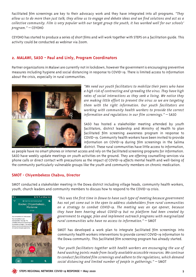Facilitated film screenings are key to their advocacy work and they have integrated into all programs. *"They allow us to do more than just talk, they allow us to engage and debate ideas and we find solutions and act as a collective community. Film is very popular with our target group the youth, it has worked well for our schools' program."* – CEYOHO

CEYOHO has started to produce a series of short films and will work together with STEPS on a facilitation guide. This activity could be conducted as webinar via Zoom.

## **2. MALAWI, SASO - Paul and Linly, Program Coordinators**

Partner organizations in Malawi are currently not in lockdown, however the government is encouraging preventive measures including hygiene and social distancing in response to COVID-19. There is limited access to information about the crisis, especially in rural communities.



*"We need our youth facilitators to mobilize their peers who have a high risk of contracting and spreading the virus. They have high rates of social interactions as they seek a living. We notice they are making little effort to prevent the virus so we are targeting them with the right information. Our youth facilitators are working with community health workers to provide the correct information and regulations in our film screenings."* – SASO

SASO has hosted a stakeholder meeting attended by youth facilitators, district leadership and Ministry of Health to plan facilitated film screening awareness program in response to COVID-19. Community health workers have been invited to provide information on COVID-19 during film screenings in the Salima district. These rural communities have little access to information,

as people have no smart phones or internet access and rely on the facilitated screening programs for information. SASO have weekly update meetings on youth activities on the ground. They are offering counselling services via phone calls or direct contact with precautions as the impact of COVID-19 affects mental health and well-being of the community particularly vulnerable groups like the youth and community members on chronic medication.

## **SMOT - Chiyembekezo Chabvu, Director**

SMOT conducted a stakeholder meeting in the Dowa district including village heads, community health workers, youth, church leaders and community members to discuss how to respond to the COVID-19 crisis.



*"This was the first time in Dowa to have such type of meeting because government has not yet come out in the open to address stakeholders from rural communities on a strategy to combat COVID-19. The meeting was an eye opener, because they have been hearing about COVID-19 but no platform had been created by government to engage, plan and implement outreach programs with marginalized rural communities who have no access to information."* – SMOT

SMOT has developed a work plan to integrate facilitated film screenings into community health workers interventions to provide correct COVID-19 information to the Dowa community. This facilitated film screening program has already started.

*"Our youth facilitators together with health workers are encouraging the use of hand washing points made from locally available accessible resources. We continue to conduct facilitated film screenings and adhere to the regulations, which demand social distancing and limited number of people in gatherings."* – SMOT

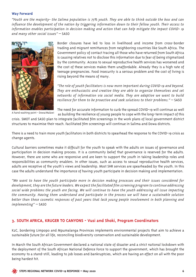#### **Way Forward**

*"Youth are the majority- the Salima population is 75% youth. They are able to think outside the box and can influence the development of the nation by triggering information down to their fellow youth. Their access to information enables participation in decision making and action that can help mitigate the impact COVID- 19 and many other social issues"* – SASO



A hand washing point - Dowa/Malawi

Border closures have led to loss in livelihood and income from cross-border trading and migrant remittances from neighboring countries like South Africa. The Government policy of contact tracing all those who have returned from South Africa is causing relatives not to disclose this information due to fear of being stigmatized by the community. Access to sexual reproductive health services has worsened and the cost of these services makes them unaffordable. Already they is a high rate of teenage pregnancies. Food insecurity is a serious problem and the cost of living is rising beyond the means of many.

*"The role of youth facilitators is now more important during COVID-19 and beyond. They are enthusiastic and creative they are able to organize themselves and set networks of information via social media. They are adaptive we want to build resilience for them to be proactive and seek solutions to their problems."* – SASO

The need for accurate information to curb the spread COVID-19 will continue as well as building the resilience of young people to cope with the long-term impact of this

crisis. SMOT and SASO plan to integrate facilitated film screenings in the work plans of local government district structures to maximise their reach. Facilitated film screenings will continue in Salima and Dowa districts.

There is a need to train more youth facilitators in both districts to spearhead the response to the COVID-19 crisis as change agents.

Cultural barriers sometimes make it difficult for the youth to speak with the adults on issues of governance and participation in decision making process. It is a community belief that governance is reserved for the adults. However, there are some who are responsive and are keen to support the youth in taking leadership roles and responsibilities as community enablers. In other issues, such as access to sexual reproductive health services, adults are receptive of the youth's views and leadership. Most SHR services are spearheaded by the youth. In this case the adults understand the importance of having youth participate in decision making and implementation.

*"We want to have the youth participate more in decision making processes and their issues considered for development, they are the future leaders. We expect the facilitated film screening program to continue addressing social wide problems the youth are facing. We will continue to have the youth addressing all issue impacting the community. Having them understand and participate in the process we will have a sustainable solution better than these cosmetic responses of past years that lack young people involvement in both planning and implementing"* – SASO

## **3. South Africa, Kruger to Canyons - Vusi and Shoki, Program Coordinators**

K2C, bordering Limpopo and Mpumalanga Provinces implements environmental projects that aim to achieve a sustainable future for all life, reconciling biodiversity conservation and sustainable development.

In March the South African Government declared a national state of disaster and a strict national lockdown with the deployment of the South African National Defence Force to support the government, which has brought the economy to a stand-still, leading to job losses and bankruptcies, which are having an effect on all with the poor being hardest hit.

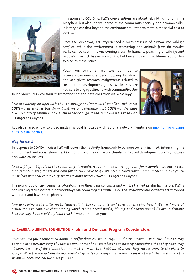

In response to COVID-19, K2C's conversations are about rebuilding not only the biosphere but also the wellbeing of the community socially and economically. It is very clear that beyond the environmental impacts there is the social cost to consider.

Since the lockdown, K2C experienced a pressing issue of human and wildlife conflict. While the environment is recovering and animals from the nearby parks can be seen in towns coming closer to humans, poaching of wildlife and people's livestock has increased. K2C held meetings with traditional authorities to discuss these issues.

Youth environmental monitors continue to receive government stipends during lockdown and are given research assignments related to sustainable development goals. While they are not able to engage directly with communities due

to lockdown, they continue their monitoring and data collection via WhatsApp.

*"We are having an approach that encourage environmental monitors not to see COVID-19 as a crisis but draw positives on rebuilding post COVID-19. We have procured safety equipment for them so they can go ahead and come back to work."* – Kruger to Canyons



K<sub>2</sub>C also shared a how-to video made in a local language with regional network members on [making masks using](https://www.facebook.com/k2cbiosphere/videos/2622120734779399/) [2litre plastic bottles.](https://www.facebook.com/k2cbiosphere/videos/2622120734779399/)

### **Way Forward**

In response to COVID-19 crises K2C will rework their activity framework to be more socially inclined, integrating the environment and social elements. Moving forward they will work closely with social development teams, Indunas and ward councilors.

*"Water plays a big role in the community, inequalities around water are apparent for example who has access, who fetches water, where and how far do they have to go. We need a conversation around this and our youth must lead personal community stories around water issues"* – Kruger to Canyons

The new group of Environmental Monitors have three year contracts and will be trained as film facilitators. K2C is considering facilitator training workshops via Zoom together with STEPS. The Environmental Monitors are provided with data and have smartphones.

*"We are seeing a rise with youth leadership in the community and their voices being heard. We need more of visual tools to continue championing youth issues. Social media, filming and production skills are in demand because they have a wider global reach."* – Kruger to Canyons

## **4. ZAMBIA, ALBINISM FOUNDATION - John and Duncan, Program Coordinators**

*"You can imagine people with albinism suffer from constant stigma and victimization. Now they have to stay at home in sometimes very abusive set ups,. Some of our members have bitterly complained that they can't stay at home because of discrimination and mistreatment that happens at home. They rather come to the office to escape. With the restrictions on movement they can't come anymore. When we interact with them we notice the strain on their mental wellbeing"* – AFZ

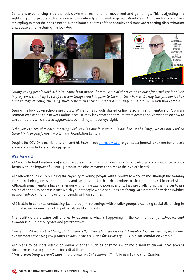Zambia is experiencing a partial lock down with restriction of movement and gatherings. This is affecting the rights of young people with albinism who are already a vulnerable group. Members of Albinism Foundation are struggling to meet their basic needs in their homes in terms of food security and some are reporting discrimination and abuse at home during the lock down



*"Many young people with albinism come from broken homes. Some of them come to our office and get involved in programs, that help to escape certain things which happen to them at their homes. During this pandemic they have to stay at home, spending much time with their families is a challenge."* — Albinism Foundation Zambia

During the lock down schools are closed. While some schools started online lessons, many members of Albinism Foundation are not able to work online because they lack smart phones, internet access and knowledge on how to use computers which is also aggravated by their often poor eye sight.

*"Like you can see, this zoom meeting with you it's our first time – it has been a challenge, we are not used to these kinds of platforms."* – Albinism Foundation Zambia

Despite the COVID-19 restrictions John and his team made [a music video,](https://youtu.be/815VFXQyxQE) organised a funeral for a member and are staying connected via WhatsApp group.

### **Way Forward**

AFZ wants to build resilience of young people with albinism to have the skills, knowledge and confidence to cope better with the impact of COVID-19 despite the circumstances and make their voices heard.

AFZ intends to scale up building the capacity of young people with albinism to work online, through the training corner in their office, with computers and laptops, to teach their members basic computer and internet skills. Although some members have challenges with online due to poor eyesight, they are challenging themselves to use online channels to address issues which young people with disabilities are facing. AFZ is part of a wider disability network advocating for inclusion of people with disabilities.

AFZ is able to continue conducting facilitated film screenings with smaller groups practicing social distancing in controlled environments not in public places like markets.

The facilitators are using cell phones to document what is happening in the communities for advocacy and awareness building purposes and for reporting.

*"We really appreciate the filming skills, using cell phones which we received through STEPS. Even during lockdown, our members are using cell phones to document activities for advocacy."* – Albinism Foundation Zambia

AFZ plans to be more visible on online channels such as opening an online disability channel that screens documentaries and programs about disabilities

*"This is something we don't have in our country at the moment"* – Albinism Foundation Zambia

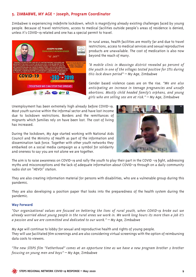## **5. ZIMBABWE, MY AGE - Joseph, Program Coordinator**

Zimbabwe is experiencing indefinite lockdown, which is magnifying already existing challenges faced by young people. Because of travel restrictions, access to medical facilities outside people's areas of residence is denied, unless it's COVID-19 related and one has a special permit to travel.



In rural areas, health facilities are mostly far and due to travel restrictions, access to medical services and sexual reproductive products are unavailable. The cost of medication is also now beyond the reach of many.

*"A mobile clinic in Masvingo district revealed 90 percent of the youth in one of the villages tested positive for STIs during this lock down period"* – My Age, Zimbabwe

Gender based violence cases are on the rise. *"We are also anticipating an increase in teenage pregnancies and unsafe abortions. Mostly child headed family's orphans, and young girls who are selling sex are at risk."* – My Age, Zimbabwe

Unemployment has been extremely high already before COVID-19. Most youth survive within the informal sector and have lost income due to lockdown restrictions. Borders and the remittances of migrants which families rely on have been lost. The cost of living has increased.

During the lockdown, My Age started working with National Aids Council and the Ministry of Health as part of the information and dissemination task force. Together with other youth networks they embarked on a social media campaign as a symbol for solidarity and oneness to say you are not alone we are together.



The aim is to raise awareness on COVID-19 and rally the youth to play their part in the COVID -19 fight, addressing myths and misconceptions and the lack of adequate information about COVID-19 through on a daily community radio slot on "HEVOI" station.

They are also creating information material for persons with disabilities, who are a vulnerable group during this pandemic.

They are also developing a position paper that looks into the preparedness of the health system during the pandemic.

### **Way Forward**

*"Our organizational values are focused on bettering the lives of rural youth, when COVID-19 broke out we already worried about young people in the rural areas we work in. We work long hours its more than a job it's a passion and we are committed and dedicated to our work."* – My Age, Zimbabwe

My Age will continue to lobby for sexual and reproductive health and rights of young people. They will use facilitated film screenings and are also considering virtual screenings with the option of reimbursing data costs to viewers.

*"The new STEPS film "Fatherhood" comes at an opportune time as we have a new program brother 2 brother focusing on young men and boys"* – My Age, Zimbabwe

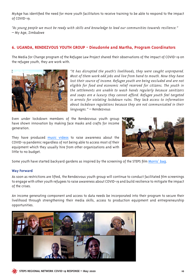MyAge has identified the need for more youth facilitators to receive training to be able to respond to the impact of COVID-19.

*"As young people we must be ready with skills and knowledge to lead our communities towards resilience."* – My Age, Zimbabwe

## **6. UGANDA, RENDEZVOUS YOUTH GROUP - Dieudonne and Martha, Program Coordinators**

The Media for Change program of the Refugee Law Project shared their observations of the impact of COVID-19 on the refugee youth, they are work with.



*"It has disrupted the youth's livelihoods, they were caught unprepared. Most of them work odd jobs and live from hand to mouth. Now they have lost their source of income. Refugee youth are being excluded and are not eligible for food and economic relief reserved for citizens. The youth in the settlements are unable to wash hands regularly because sanitizers and soaps are a luxury they cannot afford. Refugee youth feel targeted in arrests for violating lockdown rules. They lack access to information about lockdown regulations because they are not communicated in their languages."* – Rendezvous

Even under lockdown members of the Rendezvous youth group have shown innovation by making face masks and crafts for income generation.

They have produced [music videos](https://www.refugeelawproject.org/index.php/component/yendifvideoshare/video/134-don-t-let-us-fade-away-covid-19) to raise awareness about the COVID-19 pandemic regardless of not being able to access most of their equipment which they usually hire from other organizations and with little to no budget.



Some youth have started backyard gardens as inspired by the screening of the STEPS film [Morris' bag.](https://youtu.be/nsLkZydZoqk)

### **Way Forward**

As soon as restrictions are lifted, the Rendezvous youth group will continue to conduct facilitated film screenings to engage with other youth refugees to raise awareness about COVID-19 and build resilience to mitigate the impact of the crises.

An income generating component and access to data needs be incorporated into their program to secure their livelihood through strengthening their media skills, access to production equipment and entrepreneurship opportunities.



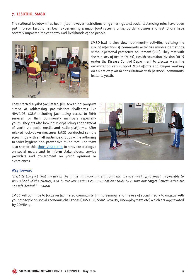## **7. LESOTHO, SM&D**

The national lockdown has been lifted however restrictions on gatherings and social distancing rules have been put in place. Lesotho has been experiencing a major food security crisis, border closures and restrictions have severely impacted the economy and livelihoods of the people.



SM&D had to slow down community activities realizing the risk of infection, if community activities involve gatherings without personal protective equipment (PPE). They met with the Ministry of Health (MOH), Health Education Division (HED) under the Disease Control Department to discuss ways the organization can support MOH efforts and began working on an action plan in consultations with partners, community leaders, youth.

They started a pilot facilitated film screening program aimed at addressing pre-existing challenges like HIV/AIDS, SGBV including facilitating access to SRHR services for their community members especially youth. They are also looking at expanding engagement of youth via social media and radio platforms. After relaxed lock-down measures SM&D conducted sample screenings with small audience groups while adhering to strict hygiene and preventive guidelines. The team also shared this [short video clip](https://youtu.be/JkVhCZD73oQ) to provoke dialogue on social media and to inform stakeholders, service providers and government on youth opinions or experiences.



#### **Way forward**

*"Despite the fact that we are in the midst an uncertain environment, we are working as much as possible to stay ahead of the change, and to use our various communications tools to ensure our target beneficiaries are not left behind."* – SM&D

SM&D will continue to focus on facilitated community film screenings and the use of social media to engage with young people on social economic challenges (HIV/AIDS, SGBV, Poverty, Unemployment etc) which are aggravated by COVID-19.